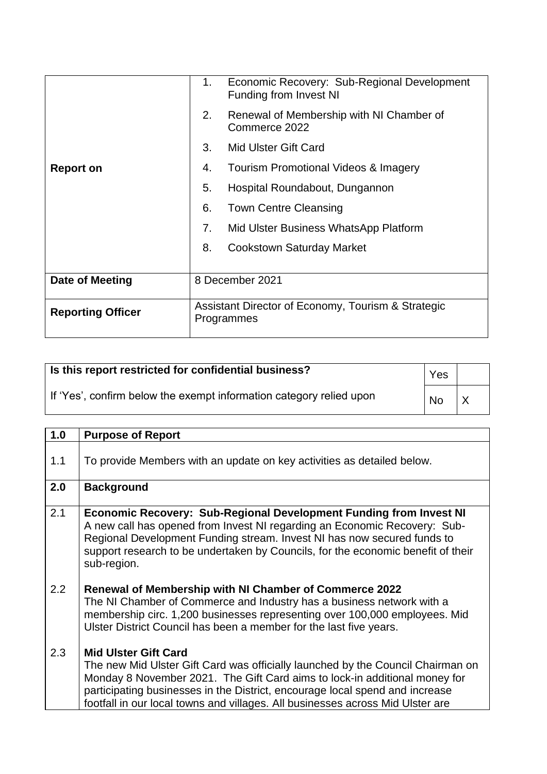|                          | 1. | Economic Recovery: Sub-Regional Development<br>Funding from Invest NI |
|--------------------------|----|-----------------------------------------------------------------------|
|                          | 2. | Renewal of Membership with NI Chamber of<br>Commerce 2022             |
|                          | 3. | Mid Ulster Gift Card                                                  |
| <b>Report on</b>         | 4. | Tourism Promotional Videos & Imagery                                  |
|                          | 5. | Hospital Roundabout, Dungannon                                        |
|                          | 6. | <b>Town Centre Cleansing</b>                                          |
|                          | 7. | Mid Ulster Business WhatsApp Platform                                 |
|                          | 8. | <b>Cookstown Saturday Market</b>                                      |
| Date of Meeting          |    | 8 December 2021                                                       |
|                          |    |                                                                       |
| <b>Reporting Officer</b> |    | Assistant Director of Economy, Tourism & Strategic<br>Programmes      |

| Is this report restricted for confidential business?                | Yes       |  |
|---------------------------------------------------------------------|-----------|--|
| If 'Yes', confirm below the exempt information category relied upon | <b>No</b> |  |

| 1.0 | <b>Purpose of Report</b>                                                                                                                                                                                                                                                                                                                                       |
|-----|----------------------------------------------------------------------------------------------------------------------------------------------------------------------------------------------------------------------------------------------------------------------------------------------------------------------------------------------------------------|
| 1.1 | To provide Members with an update on key activities as detailed below.                                                                                                                                                                                                                                                                                         |
| 2.0 | <b>Background</b>                                                                                                                                                                                                                                                                                                                                              |
| 2.1 | <b>Economic Recovery: Sub-Regional Development Funding from Invest NI</b><br>A new call has opened from Invest NI regarding an Economic Recovery: Sub-<br>Regional Development Funding stream. Invest NI has now secured funds to<br>support research to be undertaken by Councils, for the economic benefit of their<br>sub-region.                           |
| 2.2 | Renewal of Membership with NI Chamber of Commerce 2022<br>The NI Chamber of Commerce and Industry has a business network with a<br>membership circ. 1,200 businesses representing over 100,000 employees. Mid<br>Ulster District Council has been a member for the last five years.                                                                            |
| 2.3 | <b>Mid Ulster Gift Card</b><br>The new Mid Ulster Gift Card was officially launched by the Council Chairman on<br>Monday 8 November 2021. The Gift Card aims to lock-in additional money for<br>participating businesses in the District, encourage local spend and increase<br>footfall in our local towns and villages. All businesses across Mid Ulster are |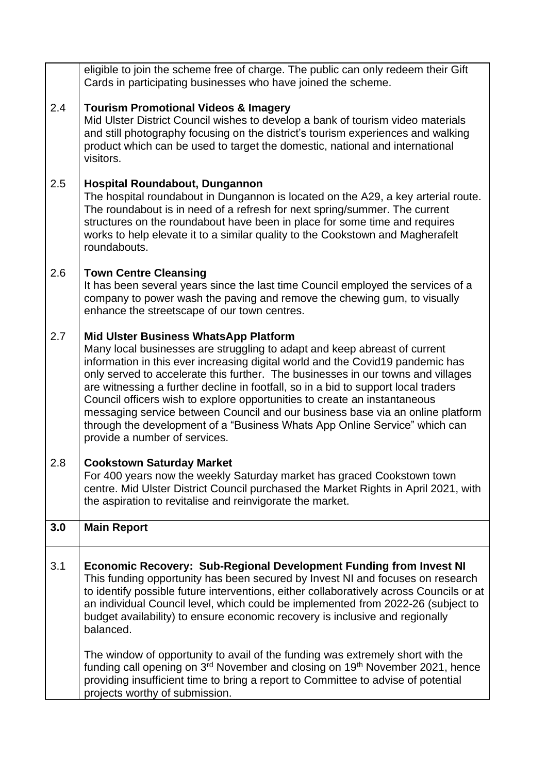|     | and still photography focusing on the district's tourism experiences and walking<br>product which can be used to target the domestic, national and international<br>visitors.                                                                                                                                                                                                                                                                                                                                                                                                                                                                                       |
|-----|---------------------------------------------------------------------------------------------------------------------------------------------------------------------------------------------------------------------------------------------------------------------------------------------------------------------------------------------------------------------------------------------------------------------------------------------------------------------------------------------------------------------------------------------------------------------------------------------------------------------------------------------------------------------|
| 2.5 | Hospital Roundabout, Dungannon<br>The hospital roundabout in Dungannon is located on the A29, a key arterial route.<br>The roundabout is in need of a refresh for next spring/summer. The current<br>structures on the roundabout have been in place for some time and requires<br>works to help elevate it to a similar quality to the Cookstown and Magherafelt<br>roundabouts.                                                                                                                                                                                                                                                                                   |
| 2.6 | <b>Town Centre Cleansing</b><br>It has been several years since the last time Council employed the services of a<br>company to power wash the paving and remove the chewing gum, to visually<br>enhance the streetscape of our town centres.                                                                                                                                                                                                                                                                                                                                                                                                                        |
| 2.7 | <b>Mid Ulster Business WhatsApp Platform</b><br>Many local businesses are struggling to adapt and keep abreast of current<br>information in this ever increasing digital world and the Covid19 pandemic has<br>only served to accelerate this further. The businesses in our towns and villages<br>are witnessing a further decline in footfall, so in a bid to support local traders<br>Council officers wish to explore opportunities to create an instantaneous<br>messaging service between Council and our business base via an online platform<br>through the development of a "Business Whats App Online Service" which can<br>provide a number of services. |
| 2.8 | <b>Cookstown Saturday Market</b><br>For 400 years now the weekly Saturday market has graced Cookstown town<br>centre. Mid Ulster District Council purchased the Market Rights in April 2021, with<br>the aspiration to revitalise and reinvigorate the market.                                                                                                                                                                                                                                                                                                                                                                                                      |
| 3.0 | <b>Main Report</b>                                                                                                                                                                                                                                                                                                                                                                                                                                                                                                                                                                                                                                                  |
| 3.1 | Economic Recovery: Sub-Regional Development Funding from Invest NI<br>This funding opportunity has been secured by Invest NI and focuses on research<br>to identify possible future interventions, either collaboratively across Councils or at<br>an individual Council level, which could be implemented from 2022-26 (subject to<br>budget availability) to ensure economic recovery is inclusive and regionally<br>balanced.                                                                                                                                                                                                                                    |
|     | The window of opportunity to avail of the funding was extremely short with the<br>funding call opening on 3 <sup>rd</sup> November and closing on 19 <sup>th</sup> November 2021, hence<br>providing insufficient time to bring a report to Committee to advise of potential<br>projects worthy of submission.                                                                                                                                                                                                                                                                                                                                                      |
|     |                                                                                                                                                                                                                                                                                                                                                                                                                                                                                                                                                                                                                                                                     |

eligible to join the scheme free of charge. The public can only redeem their Gift

Mid Ulster District Council wishes to develop a bank of tourism video materials

Cards in participating businesses who have joined the scheme.

**Tourism Promotional Videos & Imagery**

2.4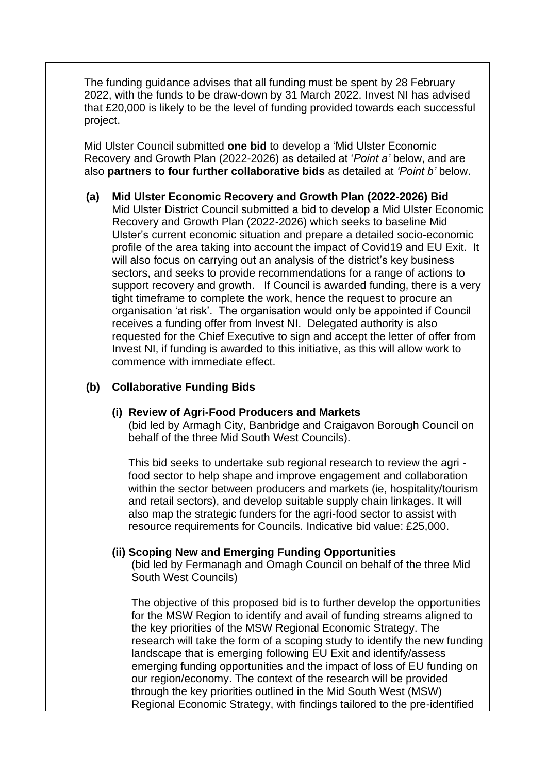The funding guidance advises that all funding must be spent by 28 February 2022, with the funds to be draw-down by 31 March 2022. Invest NI has advised that £20,000 is likely to be the level of funding provided towards each successful project.

Mid Ulster Council submitted **one bid** to develop a 'Mid Ulster Economic Recovery and Growth Plan (2022-2026) as detailed at '*Point a'* below, and are also **partners to four further collaborative bids** as detailed at *'Point b'* below.

**(a) Mid Ulster Economic Recovery and Growth Plan (2022-2026) Bid** Mid Ulster District Council submitted a bid to develop a Mid Ulster Economic Recovery and Growth Plan (2022-2026) which seeks to baseline Mid Ulster's current economic situation and prepare a detailed socio-economic profile of the area taking into account the impact of Covid19 and EU Exit. It will also focus on carrying out an analysis of the district's key business sectors, and seeks to provide recommendations for a range of actions to support recovery and growth. If Council is awarded funding, there is a very tight timeframe to complete the work, hence the request to procure an organisation 'at risk'. The organisation would only be appointed if Council receives a funding offer from Invest NI. Delegated authority is also requested for the Chief Executive to sign and accept the letter of offer from Invest NI, if funding is awarded to this initiative, as this will allow work to commence with immediate effect.

## **(b) Collaborative Funding Bids**

### **(i) Review of Agri-Food Producers and Markets**

(bid led by Armagh City, Banbridge and Craigavon Borough Council on behalf of the three Mid South West Councils).

This bid seeks to undertake sub regional research to review the agri food sector to help shape and improve engagement and collaboration within the sector between producers and markets (ie, hospitality/tourism and retail sectors), and develop suitable supply chain linkages. It will also map the strategic funders for the agri-food sector to assist with resource requirements for Councils. Indicative bid value: £25,000.

### **(ii) Scoping New and Emerging Funding Opportunities**

(bid led by Fermanagh and Omagh Council on behalf of the three Mid South West Councils)

The objective of this proposed bid is to further develop the opportunities for the MSW Region to identify and avail of funding streams aligned to the key priorities of the MSW Regional Economic Strategy. The research will take the form of a scoping study to identify the new funding landscape that is emerging following EU Exit and identify/assess emerging funding opportunities and the impact of loss of EU funding on our region/economy. The context of the research will be provided through the key priorities outlined in the Mid South West (MSW) Regional Economic Strategy, with findings tailored to the pre-identified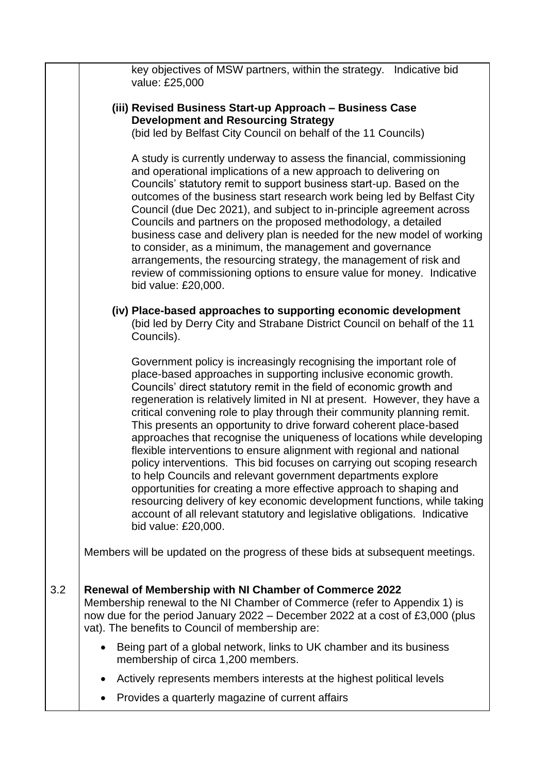|     | key objectives of MSW partners, within the strategy. Indicative bid<br>value: £25,000                                                                                                                                                                                                                                                                                                                                                                                                                                                                                                                                                                                                                                                                                                                                                                                                                                                                                                            |
|-----|--------------------------------------------------------------------------------------------------------------------------------------------------------------------------------------------------------------------------------------------------------------------------------------------------------------------------------------------------------------------------------------------------------------------------------------------------------------------------------------------------------------------------------------------------------------------------------------------------------------------------------------------------------------------------------------------------------------------------------------------------------------------------------------------------------------------------------------------------------------------------------------------------------------------------------------------------------------------------------------------------|
|     | (iii) Revised Business Start-up Approach - Business Case<br><b>Development and Resourcing Strategy</b><br>(bid led by Belfast City Council on behalf of the 11 Councils)                                                                                                                                                                                                                                                                                                                                                                                                                                                                                                                                                                                                                                                                                                                                                                                                                         |
|     | A study is currently underway to assess the financial, commissioning<br>and operational implications of a new approach to delivering on<br>Councils' statutory remit to support business start-up. Based on the<br>outcomes of the business start research work being led by Belfast City<br>Council (due Dec 2021), and subject to in-principle agreement across<br>Councils and partners on the proposed methodology, a detailed<br>business case and delivery plan is needed for the new model of working<br>to consider, as a minimum, the management and governance<br>arrangements, the resourcing strategy, the management of risk and<br>review of commissioning options to ensure value for money. Indicative<br>bid value: £20,000.                                                                                                                                                                                                                                                    |
|     | (iv) Place-based approaches to supporting economic development<br>(bid led by Derry City and Strabane District Council on behalf of the 11<br>Councils).                                                                                                                                                                                                                                                                                                                                                                                                                                                                                                                                                                                                                                                                                                                                                                                                                                         |
|     | Government policy is increasingly recognising the important role of<br>place-based approaches in supporting inclusive economic growth.<br>Councils' direct statutory remit in the field of economic growth and<br>regeneration is relatively limited in NI at present. However, they have a<br>critical convening role to play through their community planning remit.<br>This presents an opportunity to drive forward coherent place-based<br>approaches that recognise the uniqueness of locations while developing<br>flexible interventions to ensure alignment with regional and national<br>policy interventions. This bid focuses on carrying out scoping research<br>to help Councils and relevant government departments explore<br>opportunities for creating a more effective approach to shaping and<br>resourcing delivery of key economic development functions, while taking<br>account of all relevant statutory and legislative obligations. Indicative<br>bid value: £20,000. |
|     | Members will be updated on the progress of these bids at subsequent meetings.                                                                                                                                                                                                                                                                                                                                                                                                                                                                                                                                                                                                                                                                                                                                                                                                                                                                                                                    |
| 3.2 | Renewal of Membership with NI Chamber of Commerce 2022<br>Membership renewal to the NI Chamber of Commerce (refer to Appendix 1) is<br>now due for the period January 2022 - December 2022 at a cost of £3,000 (plus<br>vat). The benefits to Council of membership are:                                                                                                                                                                                                                                                                                                                                                                                                                                                                                                                                                                                                                                                                                                                         |
|     | Being part of a global network, links to UK chamber and its business<br>$\bullet$<br>membership of circa 1,200 members.                                                                                                                                                                                                                                                                                                                                                                                                                                                                                                                                                                                                                                                                                                                                                                                                                                                                          |
|     | Actively represents members interests at the highest political levels                                                                                                                                                                                                                                                                                                                                                                                                                                                                                                                                                                                                                                                                                                                                                                                                                                                                                                                            |
|     | Provides a quarterly magazine of current affairs                                                                                                                                                                                                                                                                                                                                                                                                                                                                                                                                                                                                                                                                                                                                                                                                                                                                                                                                                 |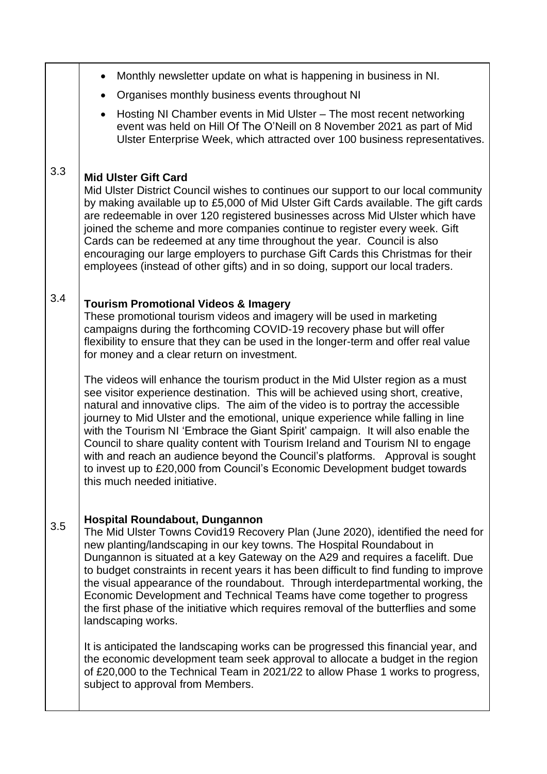|     | Monthly newsletter update on what is happening in business in NI.                                                                                                                                                                                                                                                                                                                                                                                                                                                                                                                                                                                                                                              |
|-----|----------------------------------------------------------------------------------------------------------------------------------------------------------------------------------------------------------------------------------------------------------------------------------------------------------------------------------------------------------------------------------------------------------------------------------------------------------------------------------------------------------------------------------------------------------------------------------------------------------------------------------------------------------------------------------------------------------------|
|     | Organises monthly business events throughout NI<br>$\bullet$                                                                                                                                                                                                                                                                                                                                                                                                                                                                                                                                                                                                                                                   |
|     | Hosting NI Chamber events in Mid Ulster - The most recent networking<br>$\bullet$<br>event was held on Hill Of The O'Neill on 8 November 2021 as part of Mid<br>Ulster Enterprise Week, which attracted over 100 business representatives.                                                                                                                                                                                                                                                                                                                                                                                                                                                                     |
| 3.3 | <b>Mid Ulster Gift Card</b><br>Mid Ulster District Council wishes to continues our support to our local community<br>by making available up to £5,000 of Mid Ulster Gift Cards available. The gift cards<br>are redeemable in over 120 registered businesses across Mid Ulster which have<br>joined the scheme and more companies continue to register every week. Gift<br>Cards can be redeemed at any time throughout the year. Council is also<br>encouraging our large employers to purchase Gift Cards this Christmas for their<br>employees (instead of other gifts) and in so doing, support our local traders.                                                                                         |
| 3.4 | <b>Tourism Promotional Videos &amp; Imagery</b><br>These promotional tourism videos and imagery will be used in marketing<br>campaigns during the forthcoming COVID-19 recovery phase but will offer<br>flexibility to ensure that they can be used in the longer-term and offer real value<br>for money and a clear return on investment.                                                                                                                                                                                                                                                                                                                                                                     |
|     | The videos will enhance the tourism product in the Mid Ulster region as a must<br>see visitor experience destination. This will be achieved using short, creative,<br>natural and innovative clips. The aim of the video is to portray the accessible<br>journey to Mid Ulster and the emotional, unique experience while falling in line<br>with the Tourism NI 'Embrace the Giant Spirit' campaign. It will also enable the<br>Council to share quality content with Tourism Ireland and Tourism NI to engage<br>with and reach an audience beyond the Council's platforms. Approval is sought<br>to invest up to £20,000 from Council's Economic Development budget towards<br>this much needed initiative. |
| 3.5 | <b>Hospital Roundabout, Dungannon</b><br>The Mid Ulster Towns Covid19 Recovery Plan (June 2020), identified the need for<br>new planting/landscaping in our key towns. The Hospital Roundabout in<br>Dungannon is situated at a key Gateway on the A29 and requires a facelift. Due<br>to budget constraints in recent years it has been difficult to find funding to improve<br>the visual appearance of the roundabout. Through interdepartmental working, the<br>Economic Development and Technical Teams have come together to progress<br>the first phase of the initiative which requires removal of the butterflies and some<br>landscaping works.                                                      |
|     | It is anticipated the landscaping works can be progressed this financial year, and<br>the economic development team seek approval to allocate a budget in the region<br>of £20,000 to the Technical Team in 2021/22 to allow Phase 1 works to progress,<br>subject to approval from Members.                                                                                                                                                                                                                                                                                                                                                                                                                   |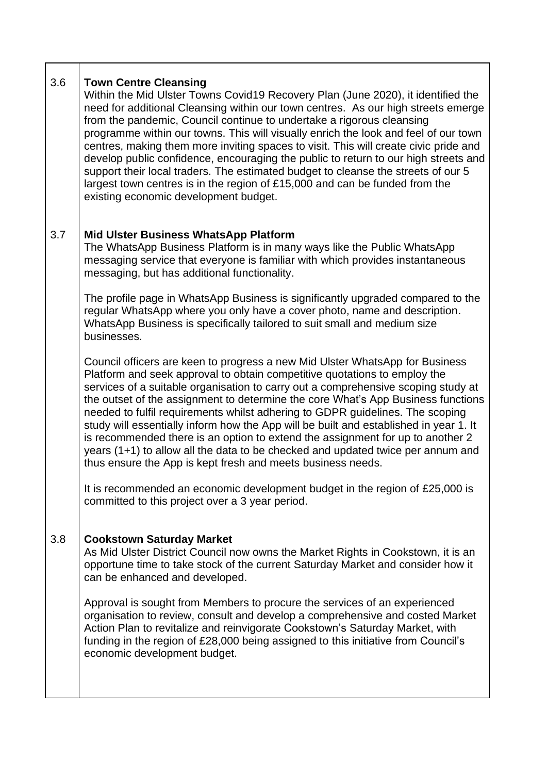#### 3.6 **Town Centre Cleansing**

Within the Mid Ulster Towns Covid19 Recovery Plan (June 2020), it identified the need for additional Cleansing within our town centres. As our high streets emerge from the pandemic, Council continue to undertake a rigorous cleansing programme within our towns. This will visually enrich the look and feel of our town centres, making them more inviting spaces to visit. This will create civic pride and develop public confidence, encouraging the public to return to our high streets and support their local traders. The estimated budget to cleanse the streets of our 5 largest town centres is in the region of £15,000 and can be funded from the existing economic development budget.

#### 3.7 **Mid Ulster Business WhatsApp Platform**

The WhatsApp Business Platform is in many ways like the Public WhatsApp messaging service that everyone is familiar with which provides instantaneous messaging, but has additional functionality.

The profile page in WhatsApp Business is significantly upgraded compared to the regular WhatsApp where you only have a cover photo, name and description. WhatsApp Business is specifically tailored to suit small and medium size businesses.

Council officers are keen to progress a new Mid Ulster WhatsApp for Business Platform and seek approval to obtain competitive quotations to employ the services of a suitable organisation to carry out a comprehensive scoping study at the outset of the assignment to determine the core What's App Business functions needed to fulfil requirements whilst adhering to GDPR guidelines. The scoping study will essentially inform how the App will be built and established in year 1. It is recommended there is an option to extend the assignment for up to another 2 years (1+1) to allow all the data to be checked and updated twice per annum and thus ensure the App is kept fresh and meets business needs.

It is recommended an economic development budget in the region of £25,000 is committed to this project over a 3 year period.

#### 3.8 **Cookstown Saturday Market**

As Mid Ulster District Council now owns the Market Rights in Cookstown, it is an opportune time to take stock of the current Saturday Market and consider how it can be enhanced and developed.

Approval is sought from Members to procure the services of an experienced organisation to review, consult and develop a comprehensive and costed Market Action Plan to revitalize and reinvigorate Cookstown's Saturday Market, with funding in the region of £28,000 being assigned to this initiative from Council's economic development budget.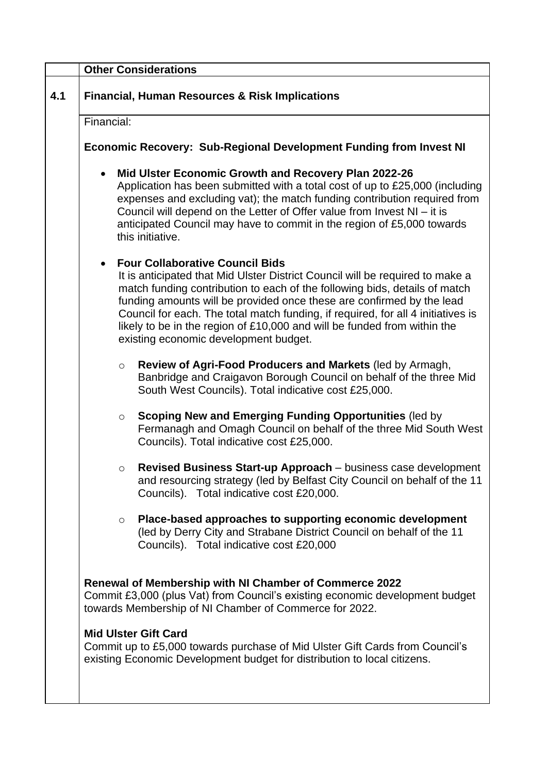|     | <b>Other Considerations</b>                                                                                                                                                                                                                                                                                                                                                                                                                                                                          |  |  |
|-----|------------------------------------------------------------------------------------------------------------------------------------------------------------------------------------------------------------------------------------------------------------------------------------------------------------------------------------------------------------------------------------------------------------------------------------------------------------------------------------------------------|--|--|
| 4.1 | <b>Financial, Human Resources &amp; Risk Implications</b>                                                                                                                                                                                                                                                                                                                                                                                                                                            |  |  |
|     | Financial:                                                                                                                                                                                                                                                                                                                                                                                                                                                                                           |  |  |
|     | <b>Economic Recovery: Sub-Regional Development Funding from Invest NI</b>                                                                                                                                                                                                                                                                                                                                                                                                                            |  |  |
|     | Mid Ulster Economic Growth and Recovery Plan 2022-26<br>Application has been submitted with a total cost of up to £25,000 (including<br>expenses and excluding vat); the match funding contribution required from<br>Council will depend on the Letter of Offer value from Invest NI - it is<br>anticipated Council may have to commit in the region of £5,000 towards<br>this initiative.                                                                                                           |  |  |
|     | <b>Four Collaborative Council Bids</b><br>$\bullet$<br>It is anticipated that Mid Ulster District Council will be required to make a<br>match funding contribution to each of the following bids, details of match<br>funding amounts will be provided once these are confirmed by the lead<br>Council for each. The total match funding, if required, for all 4 initiatives is<br>likely to be in the region of £10,000 and will be funded from within the<br>existing economic development budget. |  |  |
|     | Review of Agri-Food Producers and Markets (led by Armagh,<br>$\circ$<br>Banbridge and Craigavon Borough Council on behalf of the three Mid<br>South West Councils). Total indicative cost £25,000.                                                                                                                                                                                                                                                                                                   |  |  |
|     | <b>Scoping New and Emerging Funding Opportunities (led by</b><br>$\circ$<br>Fermanagh and Omagh Council on behalf of the three Mid South West<br>Councils). Total indicative cost £25,000.                                                                                                                                                                                                                                                                                                           |  |  |
|     | Revised Business Start-up Approach - business case development<br>$\circ$<br>and resourcing strategy (led by Belfast City Council on behalf of the 11<br>Councils). Total indicative cost £20,000.                                                                                                                                                                                                                                                                                                   |  |  |
|     | Place-based approaches to supporting economic development<br>$\circ$<br>(led by Derry City and Strabane District Council on behalf of the 11<br>Councils). Total indicative cost £20,000                                                                                                                                                                                                                                                                                                             |  |  |
|     | Renewal of Membership with NI Chamber of Commerce 2022<br>Commit £3,000 (plus Vat) from Council's existing economic development budget<br>towards Membership of NI Chamber of Commerce for 2022.                                                                                                                                                                                                                                                                                                     |  |  |
|     | <b>Mid Ulster Gift Card</b><br>Commit up to £5,000 towards purchase of Mid Ulster Gift Cards from Council's<br>existing Economic Development budget for distribution to local citizens.                                                                                                                                                                                                                                                                                                              |  |  |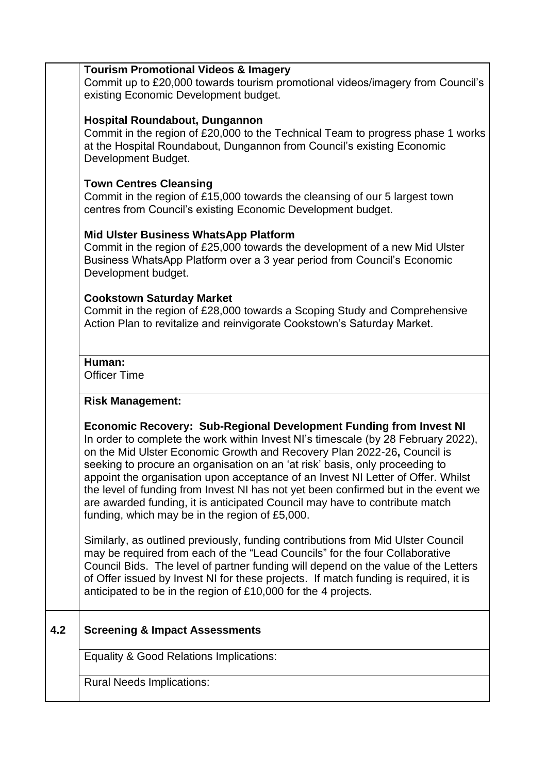## **Tourism Promotional Videos & Imagery**

Commit up to £20,000 towards tourism promotional videos/imagery from Council's existing Economic Development budget.

## **Hospital Roundabout, Dungannon**

Commit in the region of £20,000 to the Technical Team to progress phase 1 works at the Hospital Roundabout, Dungannon from Council's existing Economic Development Budget.

## **Town Centres Cleansing**

Commit in the region of £15,000 towards the cleansing of our 5 largest town centres from Council's existing Economic Development budget.

## **Mid Ulster Business WhatsApp Platform**

Commit in the region of £25,000 towards the development of a new Mid Ulster Business WhatsApp Platform over a 3 year period from Council's Economic Development budget.

## **Cookstown Saturday Market**

Commit in the region of £28,000 towards a Scoping Study and Comprehensive Action Plan to revitalize and reinvigorate Cookstown's Saturday Market.

## **Human:**

Officer Time

# **Risk Management:**

# **Economic Recovery: Sub-Regional Development Funding from Invest NI**

In order to complete the work within Invest NI's timescale (by 28 February 2022), on the Mid Ulster Economic Growth and Recovery Plan 2022-26**,** Council is seeking to procure an organisation on an 'at risk' basis, only proceeding to appoint the organisation upon acceptance of an Invest NI Letter of Offer. Whilst the level of funding from Invest NI has not yet been confirmed but in the event we are awarded funding, it is anticipated Council may have to contribute match funding, which may be in the region of £5,000.

Similarly, as outlined previously, funding contributions from Mid Ulster Council may be required from each of the "Lead Councils" for the four Collaborative Council Bids.The level of partner funding will depend on the value of the Letters of Offer issued by Invest NI for these projects. If match funding is required, it is anticipated to be in the region of £10,000 for the 4 projects.

# **4.2 Screening & Impact Assessments**

Equality & Good Relations Implications:

Rural Needs Implications: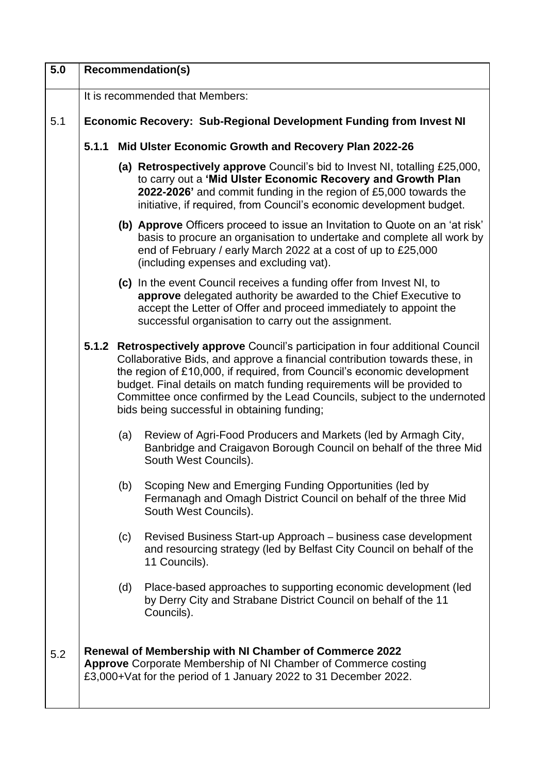| 5.0 | <b>Recommendation(s)</b>                                           |                                                                                                                                                                                                                                                                                                                                                                                                                                                 |  |
|-----|--------------------------------------------------------------------|-------------------------------------------------------------------------------------------------------------------------------------------------------------------------------------------------------------------------------------------------------------------------------------------------------------------------------------------------------------------------------------------------------------------------------------------------|--|
|     |                                                                    | It is recommended that Members:                                                                                                                                                                                                                                                                                                                                                                                                                 |  |
| 5.1 | Economic Recovery: Sub-Regional Development Funding from Invest NI |                                                                                                                                                                                                                                                                                                                                                                                                                                                 |  |
|     | 5.1.1                                                              | Mid Ulster Economic Growth and Recovery Plan 2022-26                                                                                                                                                                                                                                                                                                                                                                                            |  |
|     |                                                                    | (a) Retrospectively approve Council's bid to Invest NI, totalling £25,000,<br>to carry out a 'Mid Ulster Economic Recovery and Growth Plan<br>2022-2026' and commit funding in the region of £5,000 towards the<br>initiative, if required, from Council's economic development budget.                                                                                                                                                         |  |
|     |                                                                    | (b) Approve Officers proceed to issue an Invitation to Quote on an 'at risk'<br>basis to procure an organisation to undertake and complete all work by<br>end of February / early March 2022 at a cost of up to £25,000<br>(including expenses and excluding vat).                                                                                                                                                                              |  |
|     |                                                                    | (c) In the event Council receives a funding offer from Invest NI, to<br>approve delegated authority be awarded to the Chief Executive to<br>accept the Letter of Offer and proceed immediately to appoint the<br>successful organisation to carry out the assignment.                                                                                                                                                                           |  |
|     |                                                                    | 5.1.2 Retrospectively approve Council's participation in four additional Council<br>Collaborative Bids, and approve a financial contribution towards these, in<br>the region of £10,000, if required, from Council's economic development<br>budget. Final details on match funding requirements will be provided to<br>Committee once confirmed by the Lead Councils, subject to the undernoted<br>bids being successful in obtaining funding; |  |
|     |                                                                    | Review of Agri-Food Producers and Markets (led by Armagh City,<br>(a)<br>Banbridge and Craigavon Borough Council on behalf of the three Mid<br>South West Councils).                                                                                                                                                                                                                                                                            |  |
|     |                                                                    | Scoping New and Emerging Funding Opportunities (led by<br>(b)<br>Fermanagh and Omagh District Council on behalf of the three Mid<br>South West Councils).                                                                                                                                                                                                                                                                                       |  |
|     |                                                                    | Revised Business Start-up Approach – business case development<br>(c)<br>and resourcing strategy (led by Belfast City Council on behalf of the<br>11 Councils).                                                                                                                                                                                                                                                                                 |  |
|     |                                                                    | (d)<br>Place-based approaches to supporting economic development (led<br>by Derry City and Strabane District Council on behalf of the 11<br>Councils).                                                                                                                                                                                                                                                                                          |  |
| 5.2 |                                                                    | Renewal of Membership with NI Chamber of Commerce 2022<br>Approve Corporate Membership of NI Chamber of Commerce costing<br>£3,000+Vat for the period of 1 January 2022 to 31 December 2022.                                                                                                                                                                                                                                                    |  |